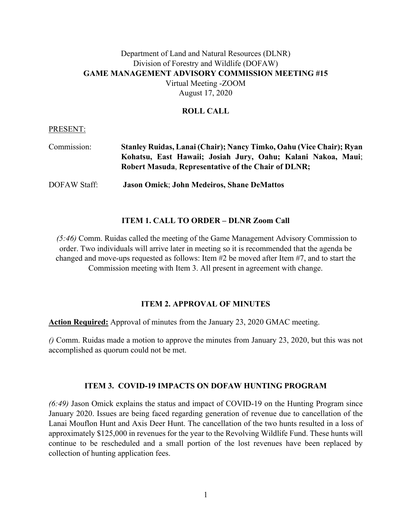## Department of Land and Natural Resources (DLNR) Division of Forestry and Wildlife (DOFAW) **GAME MANAGEMENT ADVISORY COMMISSION MEETING #15** Virtual Meeting -ZOOM August 17, 2020

#### **ROLL CALL**

#### PRESENT:

| Commission:  | Stanley Ruidas, Lanai (Chair); Nancy Timko, Oahu (Vice Chair); Ryan                                                        |
|--------------|----------------------------------------------------------------------------------------------------------------------------|
|              | Kohatsu, East Hawaii; Josiah Jury, Oahu; Kalani Nakoa, Maui;<br><b>Robert Masuda, Representative of the Chair of DLNR;</b> |
| DOFAW Staff: | <b>Jason Omick; John Medeiros, Shane DeMattos</b>                                                                          |

### **ITEM 1. CALL TO ORDER – DLNR Zoom Call**

*(5:46)* Comm. Ruidas called the meeting of the Game Management Advisory Commission to order. Two individuals will arrive later in meeting so it is recommended that the agenda be changed and move-ups requested as follows: Item #2 be moved after Item #7, and to start the Commission meeting with Item 3. All present in agreement with change.

#### **ITEM 2. APPROVAL OF MINUTES**

**Action Required:** Approval of minutes from the January 23, 2020 GMAC meeting.

*()* Comm. Ruidas made a motion to approve the minutes from January 23, 2020, but this was not accomplished as quorum could not be met.

#### **ITEM 3. COVID-19 IMPACTS ON DOFAW HUNTING PROGRAM**

*(6:49)* Jason Omick explains the status and impact of COVID-19 on the Hunting Program since January 2020. Issues are being faced regarding generation of revenue due to cancellation of the Lanai Mouflon Hunt and Axis Deer Hunt. The cancellation of the two hunts resulted in a loss of approximately \$125,000 in revenues for the year to the Revolving Wildlife Fund. These hunts will continue to be rescheduled and a small portion of the lost revenues have been replaced by collection of hunting application fees.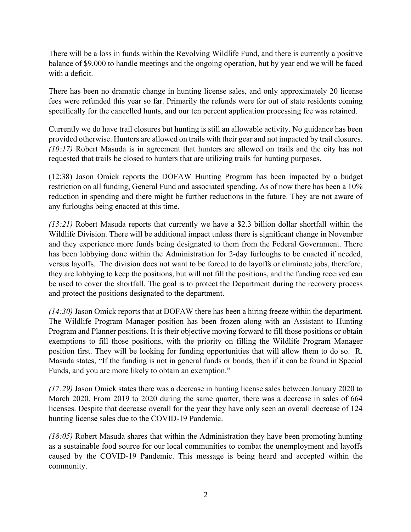There will be a loss in funds within the Revolving Wildlife Fund, and there is currently a positive balance of \$9,000 to handle meetings and the ongoing operation, but by year end we will be faced with a deficit.

There has been no dramatic change in hunting license sales, and only approximately 20 license fees were refunded this year so far. Primarily the refunds were for out of state residents coming specifically for the cancelled hunts, and our ten percent application processing fee was retained.

Currently we do have trail closures but hunting is still an allowable activity. No guidance has been provided otherwise. Hunters are allowed on trails with their gear and not impacted by trail closures. *(10:17)* Robert Masuda is in agreement that hunters are allowed on trails and the city has not requested that trails be closed to hunters that are utilizing trails for hunting purposes.

(12:38) Jason Omick reports the DOFAW Hunting Program has been impacted by a budget restriction on all funding, General Fund and associated spending. As of now there has been a 10% reduction in spending and there might be further reductions in the future. They are not aware of any furloughs being enacted at this time.

*(13:21)* Robert Masuda reports that currently we have a \$2.3 billion dollar shortfall within the Wildlife Division. There will be additional impact unless there is significant change in November and they experience more funds being designated to them from the Federal Government. There has been lobbying done within the Administration for 2-day furloughs to be enacted if needed, versus layoffs. The division does not want to be forced to do layoffs or eliminate jobs, therefore, they are lobbying to keep the positions, but will not fill the positions, and the funding received can be used to cover the shortfall. The goal is to protect the Department during the recovery process and protect the positions designated to the department.

*(14:30)* Jason Omick reports that at DOFAW there has been a hiring freeze within the department. The Wildlife Program Manager position has been frozen along with an Assistant to Hunting Program and Planner positions. It is their objective moving forward to fill those positions or obtain exemptions to fill those positions, with the priority on filling the Wildlife Program Manager position first. They will be looking for funding opportunities that will allow them to do so. R. Masuda states, "If the funding is not in general funds or bonds, then if it can be found in Special Funds, and you are more likely to obtain an exemption."

*(17:29)* Jason Omick states there was a decrease in hunting license sales between January 2020 to March 2020. From 2019 to 2020 during the same quarter, there was a decrease in sales of 664 licenses. Despite that decrease overall for the year they have only seen an overall decrease of 124 hunting license sales due to the COVID-19 Pandemic.

*(18:05)* Robert Masuda shares that within the Administration they have been promoting hunting as a sustainable food source for our local communities to combat the unemployment and layoffs caused by the COVID-19 Pandemic. This message is being heard and accepted within the community.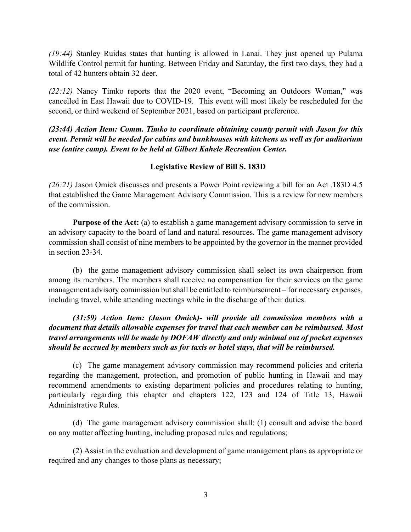*(19:44)* Stanley Ruidas states that hunting is allowed in Lanai. They just opened up Pulama Wildlife Control permit for hunting. Between Friday and Saturday, the first two days, they had a total of 42 hunters obtain 32 deer.

*(22:12)* Nancy Timko reports that the 2020 event, "Becoming an Outdoors Woman," was cancelled in East Hawaii due to COVID-19. This event will most likely be rescheduled for the second, or third weekend of September 2021, based on participant preference.

*(23:44) Action Item: Comm. Timko to coordinate obtaining county permit with Jason for this event. Permit will be needed for cabins and bunkhouses with kitchens as well as for auditorium use (entire camp). Event to be held at Gilbert Kahele Recreation Center.*

## **Legislative Review of Bill S. 183D**

*(26:21)* Jason Omick discusses and presents a Power Point reviewing a bill for an Act .183D 4.5 that established the Game Management Advisory Commission. This is a review for new members of the commission.

**Purpose of the Act:** (a) to establish a game management advisory commission to serve in an advisory capacity to the board of land and natural resources. The game management advisory commission shall consist of nine members to be appointed by the governor in the manner provided in section 23-34.

(b) the game management advisory commission shall select its own chairperson from among its members. The members shall receive no compensation for their services on the game management advisory commission but shall be entitled to reimbursement – for necessary expenses, including travel, while attending meetings while in the discharge of their duties.

*(31:59) Action Item: (Jason Omick)- will provide all commission members with a document that details allowable expenses for travel that each member can be reimbursed. Most travel arrangements will be made by DOFAW directly and only minimal out of pocket expenses should be accrued by members such as for taxis or hotel stays, that will be reimbursed.*

(c) The game management advisory commission may recommend policies and criteria regarding the management, protection, and promotion of public hunting in Hawaii and may recommend amendments to existing department policies and procedures relating to hunting, particularly regarding this chapter and chapters 122, 123 and 124 of Title 13, Hawaii Administrative Rules.

(d) The game management advisory commission shall: (1) consult and advise the board on any matter affecting hunting, including proposed rules and regulations;

(2) Assist in the evaluation and development of game management plans as appropriate or required and any changes to those plans as necessary;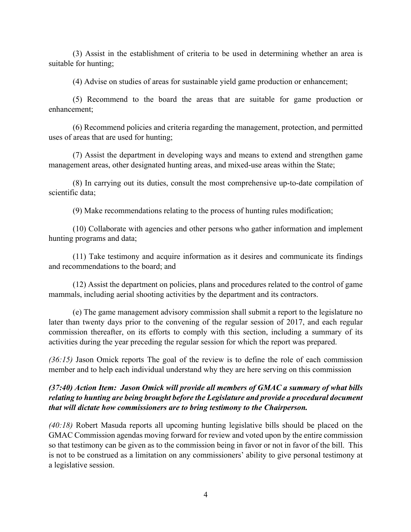(3) Assist in the establishment of criteria to be used in determining whether an area is suitable for hunting;

(4) Advise on studies of areas for sustainable yield game production or enhancement;

(5) Recommend to the board the areas that are suitable for game production or enhancement;

(6) Recommend policies and criteria regarding the management, protection, and permitted uses of areas that are used for hunting;

(7) Assist the department in developing ways and means to extend and strengthen game management areas, other designated hunting areas, and mixed-use areas within the State;

(8) In carrying out its duties, consult the most comprehensive up-to-date compilation of scientific data;

(9) Make recommendations relating to the process of hunting rules modification;

(10) Collaborate with agencies and other persons who gather information and implement hunting programs and data;

(11) Take testimony and acquire information as it desires and communicate its findings and recommendations to the board; and

(12) Assist the department on policies, plans and procedures related to the control of game mammals, including aerial shooting activities by the department and its contractors.

(e) The game management advisory commission shall submit a report to the legislature no later than twenty days prior to the convening of the regular session of 2017, and each regular commission thereafter, on its efforts to comply with this section, including a summary of its activities during the year preceding the regular session for which the report was prepared.

*(36:15)* Jason Omick reports The goal of the review is to define the role of each commission member and to help each individual understand why they are here serving on this commission

## *(37:40) Action Item: Jason Omick will provide all members of GMAC a summary of what bills relating to hunting are being brought before the Legislature and provide a procedural document that will dictate how commissioners are to bring testimony to the Chairperson.*

*(40:18)* Robert Masuda reports all upcoming hunting legislative bills should be placed on the GMAC Commission agendas moving forward for review and voted upon by the entire commission so that testimony can be given as to the commission being in favor or not in favor of the bill. This is not to be construed as a limitation on any commissioners' ability to give personal testimony at a legislative session.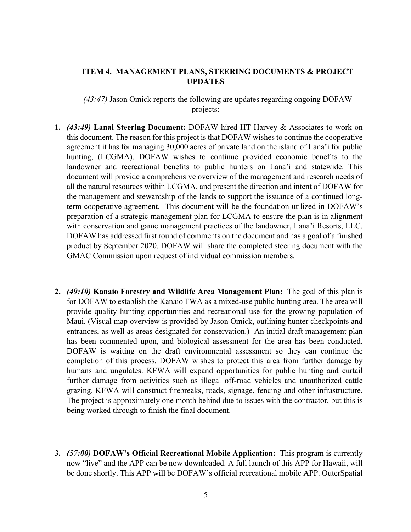## **ITEM 4. MANAGEMENT PLANS, STEERING DOCUMENTS & PROJECT UPDATES**

*(43:47)* Jason Omick reports the following are updates regarding ongoing DOFAW projects:

- **1.** *(43:49)* **Lanai Steering Document:** DOFAW hired HT Harvey & Associates to work on this document. The reason for this project is that DOFAW wishes to continue the cooperative agreement it has for managing 30,000 acres of private land on the island of Lana'i for public hunting, (LCGMA). DOFAW wishes to continue provided economic benefits to the landowner and recreational benefits to public hunters on Lana'i and statewide. This document will provide a comprehensive overview of the management and research needs of all the natural resources within LCGMA, and present the direction and intent of DOFAW for the management and stewardship of the lands to support the issuance of a continued longterm cooperative agreement. This document will be the foundation utilized in DOFAW's preparation of a strategic management plan for LCGMA to ensure the plan is in alignment with conservation and game management practices of the landowner, Lana'i Resorts, LLC. DOFAW has addressed first round of comments on the document and has a goal of a finished product by September 2020. DOFAW will share the completed steering document with the GMAC Commission upon request of individual commission members.
- **2.** *(49:10)* **Kanaio Forestry and Wildlife Area Management Plan:** The goal of this plan is for DOFAW to establish the Kanaio FWA as a mixed-use public hunting area. The area will provide quality hunting opportunities and recreational use for the growing population of Maui. (Visual map overview is provided by Jason Omick, outlining hunter checkpoints and entrances, as well as areas designated for conservation.) An initial draft management plan has been commented upon, and biological assessment for the area has been conducted. DOFAW is waiting on the draft environmental assessment so they can continue the completion of this process. DOFAW wishes to protect this area from further damage by humans and ungulates. KFWA will expand opportunities for public hunting and curtail further damage from activities such as illegal off-road vehicles and unauthorized cattle grazing. KFWA will construct firebreaks, roads, signage, fencing and other infrastructure. The project is approximately one month behind due to issues with the contractor, but this is being worked through to finish the final document.
- **3.** *(57:00)* **DOFAW's Official Recreational Mobile Application:** This program is currently now "live" and the APP can be now downloaded. A full launch of this APP for Hawaii, will be done shortly. This APP will be DOFAW's official recreational mobile APP. OuterSpatial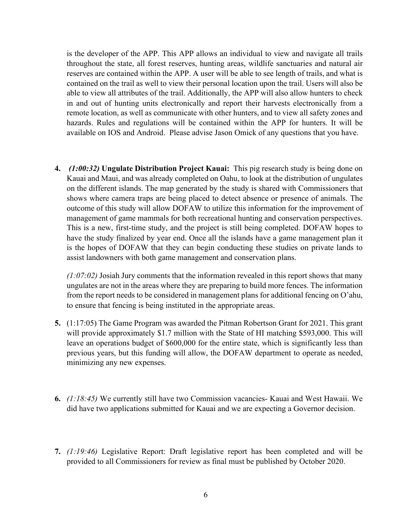is the developer of the APP. This APP allows an individual to view and navigate all trails throughout the state, all forest reserves, hunting areas, wildlife sanctuaries and natural air reserves are contained within the APP. A user will be able to see length of trails, and what is contained on the trail as well to view their personal location upon the trail. Users will also be able to view all attributes of the trail. Additionally, the APP will also allow hunters to check in and out of hunting units electronically and report their harvests electronically from a remote location, as well as communicate with other hunters, and to view all safety zones and hazards. Rules and regulations will be contained within the APP for hunters. It will be available on IOS and Android. Please advise Jason Omick of any questions that you have.

**4.** *(1:00:32)* **Ungulate Distribution Project Kauai:** This pig research study is being done on Kauai and Maui, and was already completed on Oahu, to look at the distribution of ungulates on the different islands. The map generated by the study is shared with Commissioners that shows where camera traps are being placed to detect absence or presence of animals. The outcome of this study will allow DOFAW to utilize this information for the improvement of management of game mammals for both recreational hunting and conservation perspectives. This is a new, first-time study, and the project is still being completed. DOFAW hopes to have the study finalized by year end. Once all the islands have a game management plan it is the hopes of DOFAW that they can begin conducting these studies on private lands to assist landowners with both game management and conservation plans.

*(1:07:02)* Josiah Jury comments that the information revealed in this report shows that many ungulates are not in the areas where they are preparing to build more fences. The information from the report needs to be considered in management plans for additional fencing on O'ahu, to ensure that fencing is being instituted in the appropriate areas.

- **5.** (1:17:05) The Game Program was awarded the Pitman Robertson Grant for 2021. This grant will provide approximately \$1.7 million with the State of HI matching \$593,000. This will leave an operations budget of \$600,000 for the entire state, which is significantly less than previous years, but this funding will allow, the DOFAW department to operate as needed, minimizing any new expenses.
- **6.** *(1:18:45)* We currently still have two Commission vacancies- Kauai and West Hawaii. We did have two applications submitted for Kauai and we are expecting a Governor decision.
- **7.** *(1:19:46)* Legislative Report: Draft legislative report has been completed and will be provided to all Commissioners for review as final must be published by October 2020.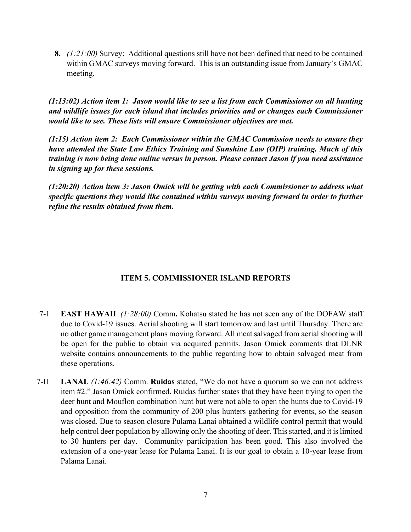**8.** *(1:21:00)* Survey: Additional questions still have not been defined that need to be contained within GMAC surveys moving forward. This is an outstanding issue from January's GMAC meeting.

*(1:13:02) Action item 1: Jason would like to see a list from each Commissioner on all hunting and wildlife issues for each island that includes priorities and or changes each Commissioner would like to see. These lists will ensure Commissioner objectives are met.* 

*(1:15) Action item 2: Each Commissioner within the GMAC Commission needs to ensure they have attended the State Law Ethics Training and Sunshine Law (OIP) training. Much of this training is now being done online versus in person. Please contact Jason if you need assistance in signing up for these sessions.* 

*(1:20:20) Action item 3: Jason Omick will be getting with each Commissioner to address what specific questions they would like contained within surveys moving forward in order to further refine the results obtained from them.*

# **ITEM 5. COMMISSIONER ISLAND REPORTS**

- 7-I **EAST HAWAII**. *(1:28:00)* Comm**.** Kohatsu stated he has not seen any of the DOFAW staff due to Covid-19 issues. Aerial shooting will start tomorrow and last until Thursday. There are no other game management plans moving forward. All meat salvaged from aerial shooting will be open for the public to obtain via acquired permits. Jason Omick comments that DLNR website contains announcements to the public regarding how to obtain salvaged meat from these operations.
- 7-II **LANAI**. *(1:46:42)* Comm. **Ruidas** stated, "We do not have a quorum so we can not address item #2." Jason Omick confirmed. Ruidas further states that they have been trying to open the deer hunt and Mouflon combination hunt but were not able to open the hunts due to Covid-19 and opposition from the community of 200 plus hunters gathering for events, so the season was closed. Due to season closure Pulama Lanai obtained a wildlife control permit that would help control deer population by allowing only the shooting of deer. This started, and it is limited to 30 hunters per day. Community participation has been good. This also involved the extension of a one-year lease for Pulama Lanai. It is our goal to obtain a 10-year lease from Palama Lanai.